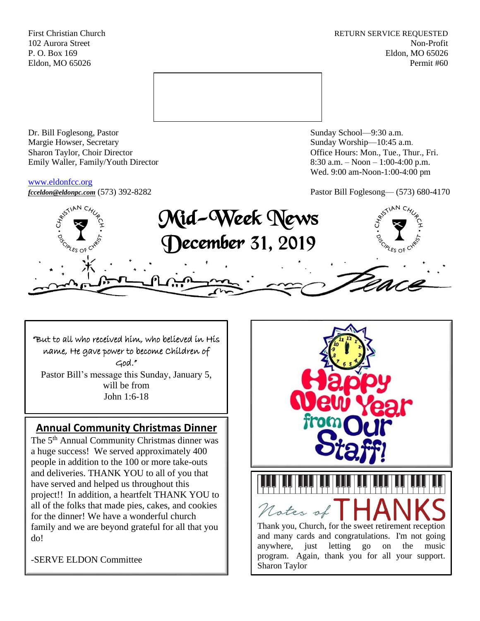First Christian Church **RETURN SERVICE REQUESTED** 102 Aurora Street Non-Profit P. O. Box 169 Eldon, MO 65026 Eldon, MO 65026 Permit #60



Dr. Bill Foglesong, Pastor Sunday School—9:30 a.m. Margie Howser, Secretary Sunday Worship—10:45 a.m. Sharon Taylor, Choir Director **Channel Controllering Controllering Controllering Controllering Controllering Controllering Controllering Controllering Controllering Controllering Controllering Controllering Controllering C** Emily Waller, Family/Youth Director 8:30 a.m. – Noon – 1:00-4:00 p.m.

### [www.eldonfcc.org](http://www.eldonfcc.org/)

Wed. 9:00 am-Noon-1:00-4:00 pm

*[fcceldon@eldonpc.com](mailto:fcceldon@eldonpc.com)* (573) 392-8282 Pastor Bill Foglesong— (573) 680-4170



# "But to all who received him, who believed in His name, He gave power to become Children of

God."

Pastor Bill's message this Sunday, January 5, will be from John 1:6-18

# **Annual Community Christmas Dinner**

The 5<sup>th</sup> Annual Community Christmas dinner was a huge success! We served approximately 400 people in addition to the 100 or more take-outs and deliveries. THANK YOU to all of you that have served and helped us throughout this project!! In addition, a heartfelt THANK YOU to all of the folks that made pies, cakes, and cookies for the dinner! We have a wonderful church family and we are beyond grateful for all that you do!

-SERVE ELDON Committee